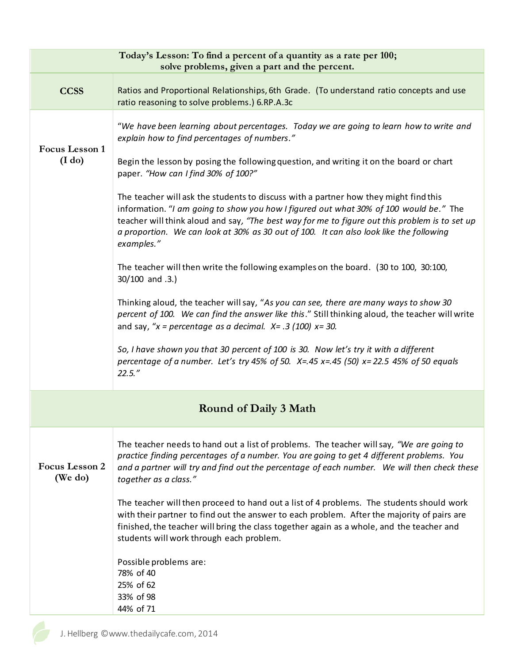| Today's Lesson: To find a percent of a quantity as a rate per 100;<br>solve problems, given a part and the percent. |                                                                                                                                                                                                                                                                                                                                                                                                                                                                                                                                                                                                                                                                                                                                                                                                                                                                                                                                                                                                                                                                                                                                                                                                                                                                |  |
|---------------------------------------------------------------------------------------------------------------------|----------------------------------------------------------------------------------------------------------------------------------------------------------------------------------------------------------------------------------------------------------------------------------------------------------------------------------------------------------------------------------------------------------------------------------------------------------------------------------------------------------------------------------------------------------------------------------------------------------------------------------------------------------------------------------------------------------------------------------------------------------------------------------------------------------------------------------------------------------------------------------------------------------------------------------------------------------------------------------------------------------------------------------------------------------------------------------------------------------------------------------------------------------------------------------------------------------------------------------------------------------------|--|
| <b>CCSS</b>                                                                                                         | Ratios and Proportional Relationships, 6th Grade. (To understand ratio concepts and use<br>ratio reasoning to solve problems.) 6.RP.A.3c                                                                                                                                                                                                                                                                                                                                                                                                                                                                                                                                                                                                                                                                                                                                                                                                                                                                                                                                                                                                                                                                                                                       |  |
| Focus Lesson 1<br>$(\mathrm{Id} \mathrm{o})$                                                                        | "We have been learning about percentages. Today we are going to learn how to write and<br>explain how to find percentages of numbers."<br>Begin the lesson by posing the following question, and writing it on the board or chart<br>paper. "How can I find 30% of 100?"<br>The teacher will ask the students to discuss with a partner how they might find this<br>information. "I am going to show you how I figured out what 30% of 100 would be." The<br>teacher will think aloud and say, "The best way for me to figure out this problem is to set up<br>a proportion. We can look at 30% as 30 out of 100. It can also look like the following<br>examples."<br>The teacher will then write the following examples on the board. (30 to 100, 30:100,<br>$30/100$ and .3.)<br>Thinking aloud, the teacher will say, "As you can see, there are many ways to show 30<br>percent of 100. We can find the answer like this." Still thinking aloud, the teacher will write<br>and say, " $x =$ percentage as a decimal. $x = .3$ (100) $x = 30$ .<br>So, I have shown you that 30 percent of 100 is 30. Now let's try it with a different<br>percentage of a number. Let's try 45% of 50. $X = .45$ , $X = .45$ (50) $X = 22.5$ , 45% of 50 equals<br>22.5." |  |
| <b>Round of Daily 3 Math</b>                                                                                        |                                                                                                                                                                                                                                                                                                                                                                                                                                                                                                                                                                                                                                                                                                                                                                                                                                                                                                                                                                                                                                                                                                                                                                                                                                                                |  |
| Focus Lesson 2<br>(We do)                                                                                           | The teacher needs to hand out a list of problems. The teacher will say, "We are going to<br>practice finding percentages of a number. You are going to get 4 different problems. You<br>and a partner will try and find out the percentage of each number. We will then check these<br>together as a class."<br>The teacher will then proceed to hand out a list of 4 problems. The students should work<br>with their partner to find out the answer to each problem. After the majority of pairs are<br>finished, the teacher will bring the class together again as a whole, and the teacher and<br>students will work through each problem.<br>Possible problems are:<br>78% of 40<br>25% of 62<br>33% of 98<br>44% of 71                                                                                                                                                                                                                                                                                                                                                                                                                                                                                                                                  |  |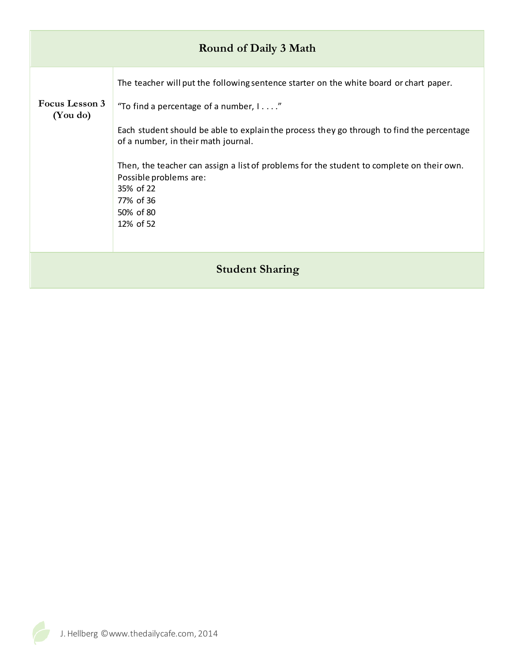| <b>Round of Daily 3 Math</b> |                                                                                                                                                                                                                                                                                                                                                                                                                                                           |  |
|------------------------------|-----------------------------------------------------------------------------------------------------------------------------------------------------------------------------------------------------------------------------------------------------------------------------------------------------------------------------------------------------------------------------------------------------------------------------------------------------------|--|
| Focus Lesson 3<br>(You do)   | The teacher will put the following sentence starter on the white board or chart paper.<br>"To find a percentage of a number, $1 \ldots$ ."<br>Each student should be able to explain the process they go through to find the percentage<br>of a number, in their math journal.<br>Then, the teacher can assign a list of problems for the student to complete on their own.<br>Possible problems are:<br>35% of 22<br>77% of 36<br>50% of 80<br>12% of 52 |  |
| <b>Student Sharing</b>       |                                                                                                                                                                                                                                                                                                                                                                                                                                                           |  |